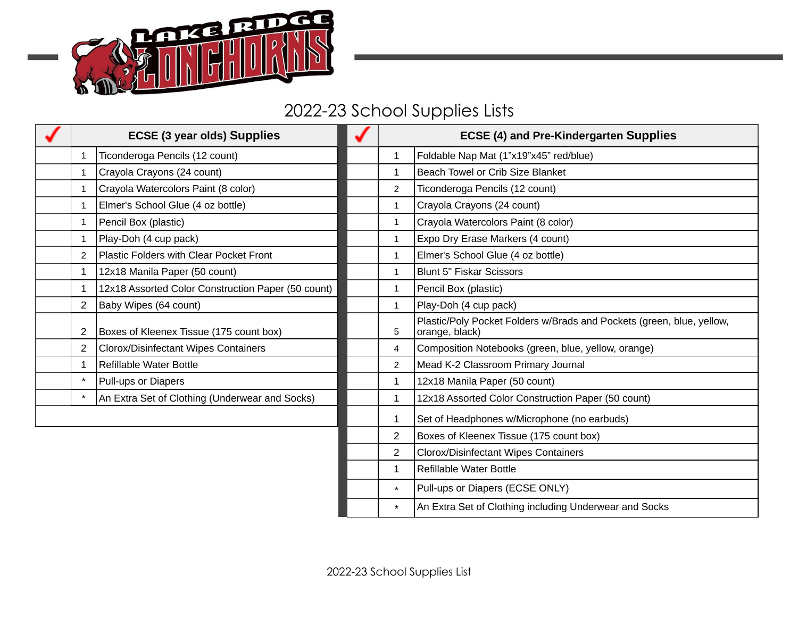

## 2022-23 School Supplies Lists

| <b>ECSE (3 year olds) Supplies</b> |                                                    |                | <b>ECSE (4) and Pre-Kindergarten Supplies</b>                                           |  |
|------------------------------------|----------------------------------------------------|----------------|-----------------------------------------------------------------------------------------|--|
| $\mathbf{1}$                       | Ticonderoga Pencils (12 count)                     | $\mathbf 1$    | Foldable Nap Mat (1"x19"x45" red/blue)                                                  |  |
| $\mathbf{1}$                       | Crayola Crayons (24 count)                         | 1              | Beach Towel or Crib Size Blanket                                                        |  |
| $\mathbf{1}$                       | Crayola Watercolors Paint (8 color)                | $\overline{c}$ | Ticonderoga Pencils (12 count)                                                          |  |
| $\mathbf{1}$                       | Elmer's School Glue (4 oz bottle)                  | $\mathbf{1}$   | Crayola Crayons (24 count)                                                              |  |
| $\mathbf{1}$                       | Pencil Box (plastic)                               | $\mathbf{1}$   | Crayola Watercolors Paint (8 color)                                                     |  |
| $\mathbf{1}$                       | Play-Doh (4 cup pack)                              | $\mathbf{1}$   | Expo Dry Erase Markers (4 count)                                                        |  |
| $\overline{2}$                     | Plastic Folders with Clear Pocket Front            | $\mathbf{1}$   | Elmer's School Glue (4 oz bottle)                                                       |  |
| $\mathbf{1}$                       | 12x18 Manila Paper (50 count)                      | $\mathbf{1}$   | <b>Blunt 5" Fiskar Scissors</b>                                                         |  |
| 1                                  | 12x18 Assorted Color Construction Paper (50 count) | $\mathbf{1}$   | Pencil Box (plastic)                                                                    |  |
| $\overline{2}$                     | Baby Wipes (64 count)                              | $\mathbf{1}$   | Play-Doh (4 cup pack)                                                                   |  |
| 2                                  | Boxes of Kleenex Tissue (175 count box)            | 5              | Plastic/Poly Pocket Folders w/Brads and Pockets (green, blue, yellow,<br>orange, black) |  |
| $\overline{2}$                     | Clorox/Disinfectant Wipes Containers               | 4              | Composition Notebooks (green, blue, yellow, orange)                                     |  |
| $\mathbf{1}$                       | Refillable Water Bottle                            | $\overline{c}$ | Mead K-2 Classroom Primary Journal                                                      |  |
| $\star$                            | Pull-ups or Diapers                                | 1              | 12x18 Manila Paper (50 count)                                                           |  |
| $\star$                            | An Extra Set of Clothing (Underwear and Socks)     | $\mathbf{1}$   | 12x18 Assorted Color Construction Paper (50 count)                                      |  |
|                                    |                                                    | 1              | Set of Headphones w/Microphone (no earbuds)                                             |  |
|                                    |                                                    | $\overline{2}$ | Boxes of Kleenex Tissue (175 count box)                                                 |  |
|                                    |                                                    | $\overline{c}$ | <b>Clorox/Disinfectant Wipes Containers</b>                                             |  |
|                                    |                                                    | $\mathbf{1}$   | Refillable Water Bottle                                                                 |  |
|                                    |                                                    | $^\star$       | Pull-ups or Diapers (ECSE ONLY)                                                         |  |
|                                    |                                                    | $^\star$       | An Extra Set of Clothing including Underwear and Socks                                  |  |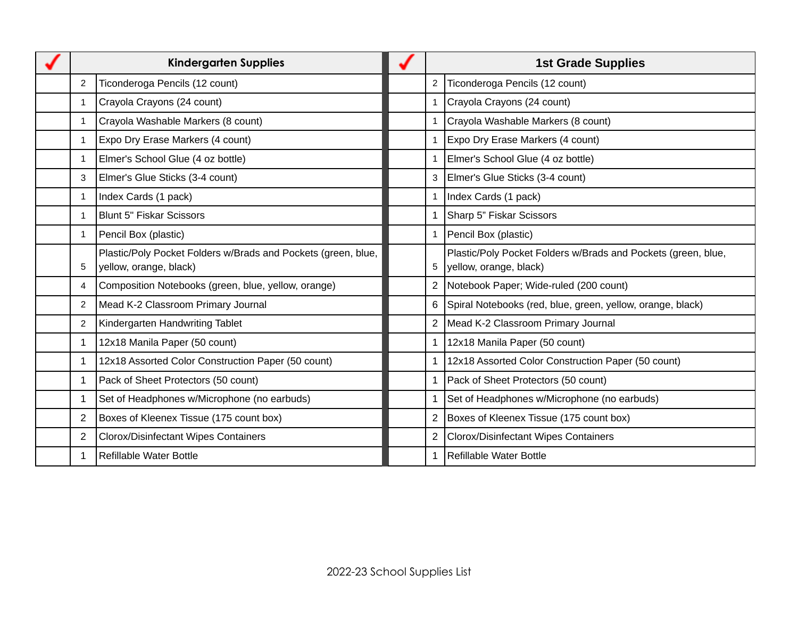| <b>Kindergarten Supplies</b> |                                                                                         | <b>1st Grade Supplies</b> |                                                                                         |
|------------------------------|-----------------------------------------------------------------------------------------|---------------------------|-----------------------------------------------------------------------------------------|
| $\overline{2}$               | Ticonderoga Pencils (12 count)                                                          | 2                         | Ticonderoga Pencils (12 count)                                                          |
| $\mathbf{1}$                 | Crayola Crayons (24 count)                                                              | $\mathbf{1}$              | Crayola Crayons (24 count)                                                              |
| $\mathbf{1}$                 | Crayola Washable Markers (8 count)                                                      | $\mathbf{1}$              | Crayola Washable Markers (8 count)                                                      |
| $\mathbf{1}$                 | Expo Dry Erase Markers (4 count)                                                        | $\mathbf{1}$              | Expo Dry Erase Markers (4 count)                                                        |
| $\mathbf{1}$                 | Elmer's School Glue (4 oz bottle)                                                       | 1                         | Elmer's School Glue (4 oz bottle)                                                       |
| 3                            | Elmer's Glue Sticks (3-4 count)                                                         | 3                         | Elmer's Glue Sticks (3-4 count)                                                         |
| 1                            | Index Cards (1 pack)                                                                    | $\mathbf{1}$              | Index Cards (1 pack)                                                                    |
| $\mathbf{1}$                 | <b>Blunt 5" Fiskar Scissors</b>                                                         |                           | Sharp 5" Fiskar Scissors                                                                |
| $\mathbf{1}$                 | Pencil Box (plastic)                                                                    | $\mathbf{1}$              | Pencil Box (plastic)                                                                    |
| 5                            | Plastic/Poly Pocket Folders w/Brads and Pockets (green, blue,<br>yellow, orange, black) | 5                         | Plastic/Poly Pocket Folders w/Brads and Pockets (green, blue,<br>yellow, orange, black) |
| 4                            | Composition Notebooks (green, blue, yellow, orange)                                     | $\overline{c}$            | Notebook Paper; Wide-ruled (200 count)                                                  |
| $\overline{2}$               | Mead K-2 Classroom Primary Journal                                                      | 6                         | Spiral Notebooks (red, blue, green, yellow, orange, black)                              |
| $\overline{2}$               | Kindergarten Handwriting Tablet                                                         |                           | Mead K-2 Classroom Primary Journal                                                      |
| $\mathbf{1}$                 | 12x18 Manila Paper (50 count)                                                           |                           | 12x18 Manila Paper (50 count)                                                           |
| $\mathbf{1}$                 | 12x18 Assorted Color Construction Paper (50 count)                                      | 1                         | 12x18 Assorted Color Construction Paper (50 count)                                      |
| $\mathbf{1}$                 | Pack of Sheet Protectors (50 count)                                                     | 1                         | Pack of Sheet Protectors (50 count)                                                     |
| $\mathbf{1}$                 | Set of Headphones w/Microphone (no earbuds)                                             |                           | Set of Headphones w/Microphone (no earbuds)                                             |
| $\overline{c}$               | Boxes of Kleenex Tissue (175 count box)                                                 | $\overline{c}$            | Boxes of Kleenex Tissue (175 count box)                                                 |
| $\overline{2}$               | <b>Clorox/Disinfectant Wipes Containers</b>                                             |                           | Clorox/Disinfectant Wipes Containers                                                    |
| 1                            | <b>Refillable Water Bottle</b>                                                          | 1                         | Refillable Water Bottle                                                                 |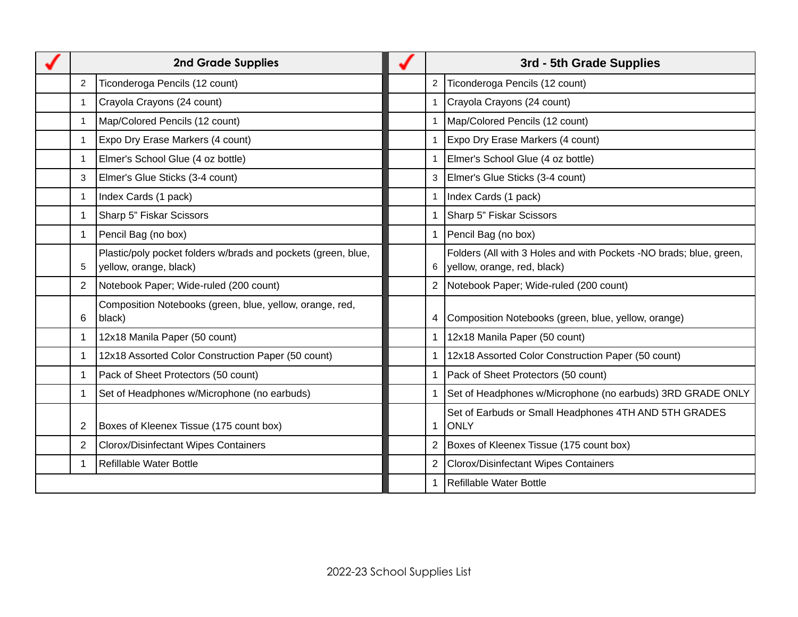| <b>2nd Grade Supplies</b> |                                                                                         | 3rd - 5th Grade Supplies |                                                                                                   |
|---------------------------|-----------------------------------------------------------------------------------------|--------------------------|---------------------------------------------------------------------------------------------------|
| 2                         | Ticonderoga Pencils (12 count)                                                          | $\overline{c}$           | Ticonderoga Pencils (12 count)                                                                    |
| $\mathbf{1}$              | Crayola Crayons (24 count)                                                              | $\mathbf{1}$             | Crayola Crayons (24 count)                                                                        |
| $\mathbf{1}$              | Map/Colored Pencils (12 count)                                                          | 1                        | Map/Colored Pencils (12 count)                                                                    |
| $\mathbf{1}$              | Expo Dry Erase Markers (4 count)                                                        | 1                        | Expo Dry Erase Markers (4 count)                                                                  |
| $\mathbf{1}$              | Elmer's School Glue (4 oz bottle)                                                       | 1                        | Elmer's School Glue (4 oz bottle)                                                                 |
| 3                         | Elmer's Glue Sticks (3-4 count)                                                         | 3                        | Elmer's Glue Sticks (3-4 count)                                                                   |
| $\mathbf{1}$              | Index Cards (1 pack)                                                                    | 1                        | Index Cards (1 pack)                                                                              |
| $\mathbf{1}$              | Sharp 5" Fiskar Scissors                                                                | 1                        | Sharp 5" Fiskar Scissors                                                                          |
| $\mathbf{1}$              | Pencil Bag (no box)                                                                     | 1                        | Pencil Bag (no box)                                                                               |
| 5                         | Plastic/poly pocket folders w/brads and pockets (green, blue,<br>yellow, orange, black) | 6                        | Folders (All with 3 Holes and with Pockets -NO brads; blue, green,<br>yellow, orange, red, black) |
| 2                         | Notebook Paper; Wide-ruled (200 count)                                                  | $\overline{c}$           | Notebook Paper; Wide-ruled (200 count)                                                            |
| 6                         | Composition Notebooks (green, blue, yellow, orange, red,<br>black)                      | 4                        | Composition Notebooks (green, blue, yellow, orange)                                               |
| $\mathbf{1}$              | 12x18 Manila Paper (50 count)                                                           | 1                        | 12x18 Manila Paper (50 count)                                                                     |
| $\mathbf{1}$              | 12x18 Assorted Color Construction Paper (50 count)                                      | 1                        | 12x18 Assorted Color Construction Paper (50 count)                                                |
| $\mathbf{1}$              | Pack of Sheet Protectors (50 count)                                                     | 1                        | Pack of Sheet Protectors (50 count)                                                               |
| 1                         | Set of Headphones w/Microphone (no earbuds)                                             |                          | Set of Headphones w/Microphone (no earbuds) 3RD GRADE ONLY                                        |
| $\overline{2}$            | Boxes of Kleenex Tissue (175 count box)                                                 | 1                        | Set of Earbuds or Small Headphones 4TH AND 5TH GRADES<br><b>ONLY</b>                              |
| $\overline{2}$            | <b>Clorox/Disinfectant Wipes Containers</b>                                             | 2                        | Boxes of Kleenex Tissue (175 count box)                                                           |
| 1                         | Refillable Water Bottle                                                                 | $\overline{c}$           | <b>Clorox/Disinfectant Wipes Containers</b>                                                       |
|                           |                                                                                         | 1                        | Refillable Water Bottle                                                                           |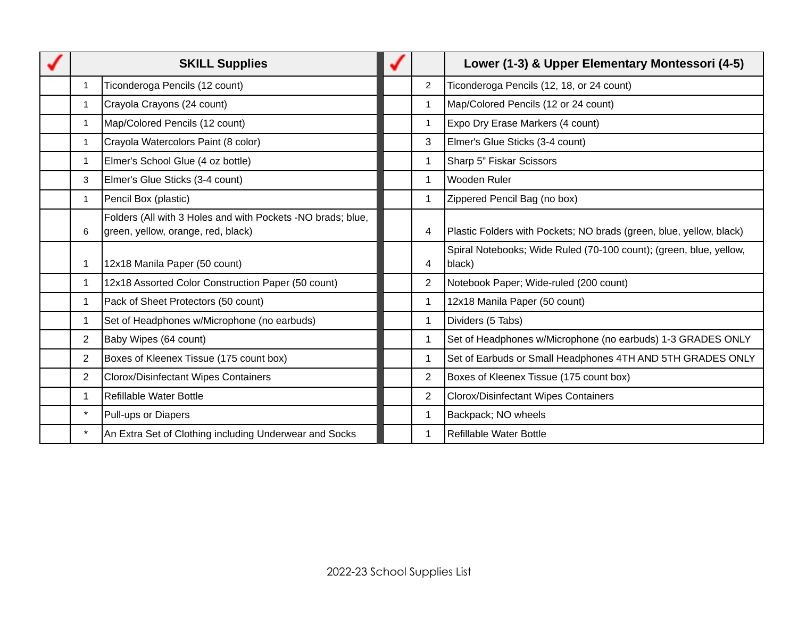|                | <b>SKILL Supplies</b>                                                                             |                | Lower (1-3) & Upper Elementary Montessori (4-5)                              |
|----------------|---------------------------------------------------------------------------------------------------|----------------|------------------------------------------------------------------------------|
| 1              | Ticonderoga Pencils (12 count)                                                                    | $\overline{2}$ | Ticonderoga Pencils (12, 18, or 24 count)                                    |
| $\mathbf{1}$   | Crayola Crayons (24 count)                                                                        | $\mathbf{1}$   | Map/Colored Pencils (12 or 24 count)                                         |
| $\mathbf{1}$   | Map/Colored Pencils (12 count)                                                                    | $\mathbf{1}$   | Expo Dry Erase Markers (4 count)                                             |
| $\mathbf{1}$   | Crayola Watercolors Paint (8 color)                                                               | 3              | Elmer's Glue Sticks (3-4 count)                                              |
| $\mathbf{1}$   | Elmer's School Glue (4 oz bottle)                                                                 | $\mathbf{1}$   | Sharp 5" Fiskar Scissors                                                     |
| 3              | Elmer's Glue Sticks (3-4 count)                                                                   | $\mathbf{1}$   | Wooden Ruler                                                                 |
| 1              | Pencil Box (plastic)                                                                              | $\mathbf{1}$   | Zippered Pencil Bag (no box)                                                 |
| 6              | Folders (All with 3 Holes and with Pockets -NO brads; blue,<br>green, yellow, orange, red, black) | 4              | Plastic Folders with Pockets; NO brads (green, blue, yellow, black)          |
| 1              | 12x18 Manila Paper (50 count)                                                                     | 4              | Spiral Notebooks; Wide Ruled (70-100 count); (green, blue, yellow,<br>black) |
| $\mathbf{1}$   | 12x18 Assorted Color Construction Paper (50 count)                                                | $\overline{c}$ | Notebook Paper; Wide-ruled (200 count)                                       |
| $\mathbf{1}$   | Pack of Sheet Protectors (50 count)                                                               | $\mathbf{1}$   | 12x18 Manila Paper (50 count)                                                |
| $\mathbf{1}$   | Set of Headphones w/Microphone (no earbuds)                                                       | $\mathbf{1}$   | Dividers (5 Tabs)                                                            |
| $\overline{2}$ | Baby Wipes (64 count)                                                                             | $\mathbf{1}$   | Set of Headphones w/Microphone (no earbuds) 1-3 GRADES ONLY                  |
| $\overline{2}$ | Boxes of Kleenex Tissue (175 count box)                                                           | $\mathbf{1}$   | Set of Earbuds or Small Headphones 4TH AND 5TH GRADES ONLY                   |
| $\overline{2}$ | Clorox/Disinfectant Wipes Containers                                                              | $\overline{c}$ | Boxes of Kleenex Tissue (175 count box)                                      |
| $\mathbf{1}$   | Refillable Water Bottle                                                                           | 2              | <b>Clorox/Disinfectant Wipes Containers</b>                                  |
| $\star$        | Pull-ups or Diapers                                                                               | $\mathbf{1}$   | Backpack; NO wheels                                                          |
| $\star$        | An Extra Set of Clothing including Underwear and Socks                                            | $\mathbf{1}$   | Refillable Water Bottle                                                      |